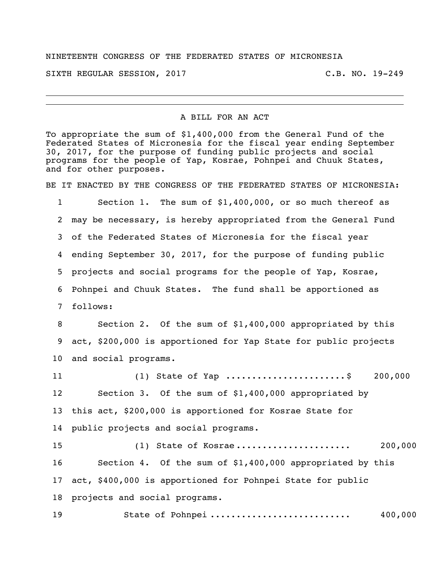## NINETEENTH CONGRESS OF THE FEDERATED STATES OF MICRONESIA

SIXTH REGULAR SESSION, 2017 C.B. NO. 19-249

## A BILL FOR AN ACT

To appropriate the sum of \$1,400,000 from the General Fund of the Federated States of Micronesia for the fiscal year ending September 30, 2017, for the purpose of funding public projects and social programs for the people of Yap, Kosrae, Pohnpei and Chuuk States, and for other purposes.

BE IT ENACTED BY THE CONGRESS OF THE FEDERATED STATES OF MICRONESIA:

 Section 1. The sum of \$1,400,000, or so much thereof as may be necessary, is hereby appropriated from the General Fund of the Federated States of Micronesia for the fiscal year ending September 30, 2017, for the purpose of funding public projects and social programs for the people of Yap, Kosrae, Pohnpei and Chuuk States. The fund shall be apportioned as follows:

 Section 2. Of the sum of \$1,400,000 appropriated by this act, \$200,000 is apportioned for Yap State for public projects and social programs.

11 (1) State of Yap .........................\$ 200,000 Section 3. Of the sum of \$1,400,000 appropriated by this act, \$200,000 is apportioned for Kosrae State for public projects and social programs. (1) State of Kosrae ...................... 200,000 Section 4. Of the sum of \$1,400,000 appropriated by this

 act, \$400,000 is apportioned for Pohnpei State for public projects and social programs.

State of Pohnpei ........................... 400,000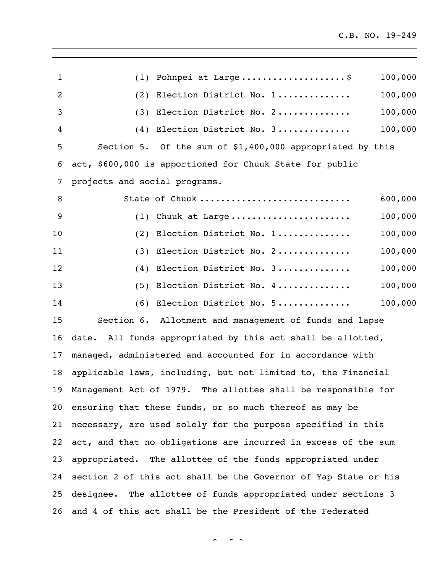| $\mathbf{1}$   | (1) Pohnpei at Large\$<br>100,000                               |  |
|----------------|-----------------------------------------------------------------|--|
| $\overline{c}$ | 100,000<br>Election District No. 1<br>(2)                       |  |
| 3              | 100,000<br>(3) Election District No. 2                          |  |
| 4              | Election District No. 3<br>100,000<br>(4)                       |  |
| 5              | Section 5. Of the sum of \$1,400,000 appropriated by this       |  |
| 6              | act, \$600,000 is apportioned for Chuuk State for public        |  |
| 7              | projects and social programs.                                   |  |
| 8              | 600,000<br>State of Chuuk                                       |  |
| 9              | 100,000<br>$(1)$ Chuuk at Large                                 |  |
| 10             | 100,000<br>(2) Election District No. 1                          |  |
| 11             | 100,000<br>(3) Election District No. 2                          |  |
| 12             | (4) Election District No. 3<br>100,000                          |  |
| 13             | (5) Election District No. 4<br>100,000                          |  |
| 14             | 100,000<br>(6) Election District No. 5                          |  |
| 15             | Section 6. Allotment and management of funds and lapse          |  |
| 16             | date. All funds appropriated by this act shall be allotted,     |  |
| 17             | managed, administered and accounted for in accordance with      |  |
| 18             | applicable laws, including, but not limited to, the Financial   |  |
| 19             | Management Act of 1979. The allottee shall be responsible for   |  |
| 20             | ensuring that these funds, or so much thereof as may be         |  |
| 21             | necessary, are used solely for the purpose specified in this    |  |
| 22             | act, and that no obligations are incurred in excess of the sum  |  |
| 23             | appropriated. The allottee of the funds appropriated under      |  |
| 24             | section 2 of this act shall be the Governor of Yap State or his |  |
| 25             | designee. The allottee of funds appropriated under sections 3   |  |
| 26             | and 4 of this act shall be the President of the Federated       |  |

 $2 \times 3$